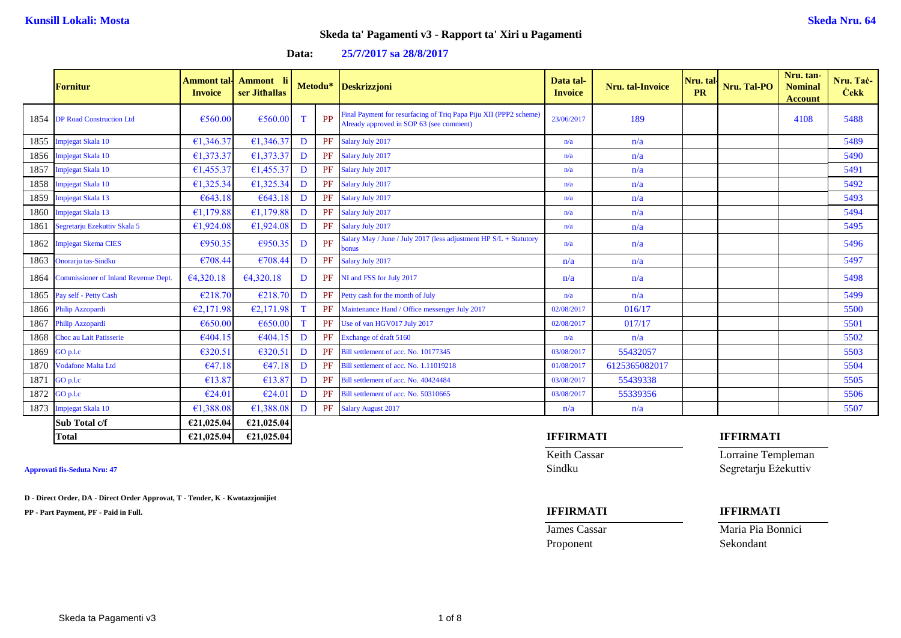| Data: | 25/7/2017 sa 28/8/2017 |  |
|-------|------------------------|--|
|-------|------------------------|--|

|      | Fornitur                                    | Ammont tal-<br><b>Invoice</b> | Ammont li<br>ser Jithallas |   |           | Metodu* Deskrizzjoni                                                                                          | Data tal-<br><b>Invoice</b> | <b>Nru.</b> tal-Invoice | Nru. tal-<br><b>PR</b> | Nru. Tal-PO      | Nru. tan-<br><b>Nominal</b><br><b>Account</b> | Nru. Tač-<br><b>Cekk</b> |
|------|---------------------------------------------|-------------------------------|----------------------------|---|-----------|---------------------------------------------------------------------------------------------------------------|-----------------------------|-------------------------|------------------------|------------------|-----------------------------------------------|--------------------------|
| 1854 | <b>DP Road Construction Ltd</b>             | €560.00                       | €560.00                    | T | PP        | Final Payment for resurfacing of Triq Papa Piju XII (PPP2 scheme)<br>Already approved in SOP 63 (see comment) | 23/06/2017                  | 189                     |                        |                  | 4108                                          | 5488                     |
| 1855 | Impjegat Skala 10                           | €1,346.37                     | €1,346.37                  | D | PF        | Salary July 2017                                                                                              | n/a                         | n/a                     |                        |                  |                                               | 5489                     |
| 1856 | Impjegat Skala 10                           | €1,373.37                     | €1,373.37                  | D | PF        | Salary July 2017                                                                                              | n/a                         | n/a                     |                        |                  |                                               | 5490                     |
| 1857 | Impjegat Skala 10                           | €1,455.37                     | €1.455.37                  | D | PF        | Salary July 2017                                                                                              | n/a                         | n/a                     |                        |                  |                                               | 5491                     |
| 1858 | Impjegat Skala 10                           | €1,325.34                     | €1,325.34                  | D | <b>PF</b> | Salary July 2017                                                                                              | n/a                         | n/a                     |                        |                  |                                               | 5492                     |
| 1859 | Impjegat Skala 13                           | €643.18                       | €643.18                    | D | PF        | Salary July 2017                                                                                              | n/a                         | n/a                     |                        |                  |                                               | 5493                     |
| 1860 | Impjegat Skala 13                           | €1,179.88                     | €1,179.88                  | D | <b>PF</b> | Salary July 2017                                                                                              | n/a                         | n/a                     |                        |                  |                                               | 5494                     |
| 1861 | Segretarju Ezekuttiv Skala 5                | €1,924.08                     | €1,924.08                  | D |           | PF Salary July 2017                                                                                           | n/a                         | n/a                     |                        |                  |                                               | 5495                     |
| 1862 | <b>Impjegat Skema CIES</b>                  | €950.35                       | €950.35                    | D | PF        | Salary May / June / July 2017 (less adjustment HP S/L + Statutory<br>bonus                                    | n/a                         | n/a                     |                        |                  |                                               | 5496                     |
| 1863 | Onorarju tas-Sindku                         | €708.44                       | €708.44                    | D | PF        | Salary July 2017                                                                                              | n/a                         | n/a                     |                        |                  |                                               | 5497                     |
| 1864 | <b>Commissioner of Inland Revenue Dept.</b> | €4,320.18                     | €4,320.18                  | D |           | PF NI and FSS for July 2017                                                                                   | n/a                         | n/a                     |                        |                  |                                               | 5498                     |
| 1865 | Pay self - Petty Cash                       | €218.70                       | €218.70                    | D | PF        | Petty cash for the month of July                                                                              | n/a                         | n/a                     |                        |                  |                                               | 5499                     |
| 1866 | Philip Azzopardi                            | E2,171.98                     | E2,171.98                  | T | PF        | Maintenance Hand / Office messenger July 2017                                                                 | 02/08/2017                  | 016/17                  |                        |                  |                                               | 5500                     |
| 1867 | Philip Azzopardi                            | €650.00                       | €650.00                    | T | PF        | Use of van HGV017 July 2017                                                                                   | 02/08/2017                  | 017/17                  |                        |                  |                                               | 5501                     |
| 1868 | Choc au Lait Patisserie                     | €404.15                       | €404.15                    | D | PF        | Exchange of draft 5160                                                                                        | n/a                         | n/a                     |                        |                  |                                               | 5502                     |
| 1869 | GO p.l.c                                    | €320.51                       | €320.51                    | D | PF        | Bill settlement of acc. No. 10177345                                                                          | 03/08/2017                  | 55432057                |                        |                  |                                               | 5503                     |
| 1870 | <b>Vodafone Malta Ltd</b>                   | €47.18                        | €47.18                     | D | PF        | Bill settlement of acc. No. 1.11019218                                                                        | 01/08/2017                  | 6125365082017           |                        |                  |                                               | 5504                     |
| 1871 | GO p.l.c                                    | €13.87                        | €13.87                     | D | PF        | Bill settlement of acc. No. 40424484                                                                          | 03/08/2017                  | 55439338                |                        |                  |                                               | 5505                     |
| 1872 | $GO$ p.l.c                                  | €24.01                        | €24.01                     | D | PF        | Bill settlement of acc. No. 50310665                                                                          | 03/08/2017                  | 55339356                |                        |                  |                                               | 5506                     |
| 1873 | Impjegat Skala 10                           | €1,388.08                     | €1,388.08                  | D | PF        | <b>Salary August 2017</b>                                                                                     | n/a                         | n/a                     |                        |                  |                                               | 5507                     |
|      | Sub Total c/f                               | €21,025.04                    | €21,025.04                 |   |           |                                                                                                               |                             |                         |                        |                  |                                               |                          |
|      | <b>Total</b>                                | €21,025.04                    | €21,025.04                 |   |           |                                                                                                               | <b>IFFIRMATI</b>            |                         |                        | <b>IFFIRMATI</b> |                                               |                          |

**D - Direct Order, DA - Direct Order Approvat, T - Tender, K - Kwotazzjonijiet**

**PP - Part Payment, PF - Paid in Full. IFFIRMATI IFFIRMATI**

Proponent Sekondant

Keith Cassar **Lorraine Templeman Approvati fis-Seduta Nru: 47** Sindku Segretarju Eżekuttiv

**James Cassar Maria Pia Bonnici** Maria Pia Bonnici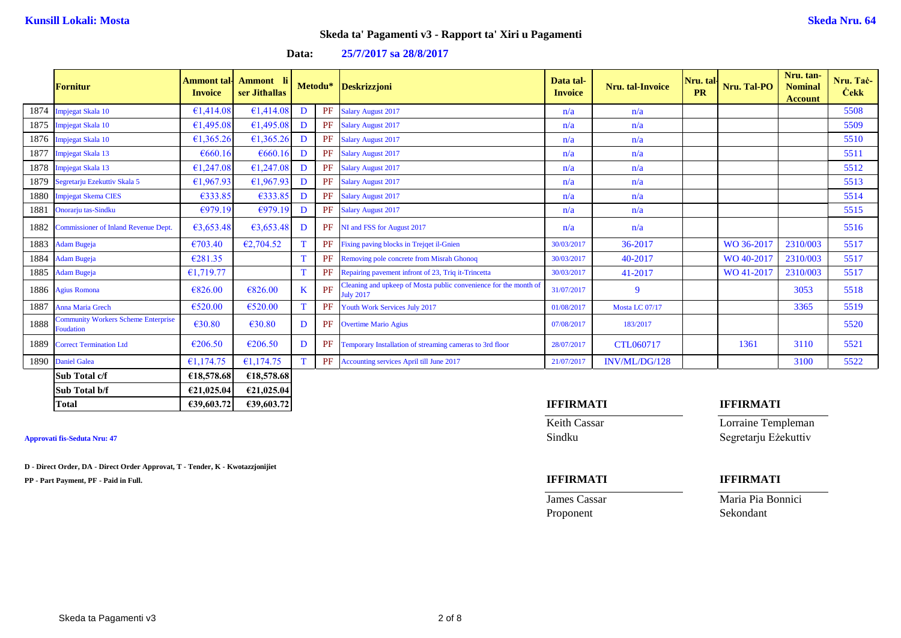| Data: | 25/7/2017 sa 28/8/2017 |  |
|-------|------------------------|--|
|-------|------------------------|--|

|      | <b>Fornitur</b>                                         | <b>Ammont</b> tal-<br><b>Invoice</b> | Ammont li<br>ser Jithallas |   |           | Metodu* Deskrizzjoni                                                                 | Data tal-<br><b>Invoice</b> | <b>Nru.</b> tal-Invoice | Nru. tal-<br><b>PR</b> | Nru. Tal-PO | Nru. tan-<br><b>Nominal</b><br><b>Account</b> | Nru. Tač-<br><b>Cekk</b> |
|------|---------------------------------------------------------|--------------------------------------|----------------------------|---|-----------|--------------------------------------------------------------------------------------|-----------------------------|-------------------------|------------------------|-------------|-----------------------------------------------|--------------------------|
| 1874 | Impjegat Skala 10                                       | €1,414.08                            | €1,414.08                  | D | PF        | <b>Salary August 2017</b>                                                            | n/a                         | n/a                     |                        |             |                                               | 5508                     |
| 1875 | Impjegat Skala 10                                       | €1,495.08                            | €1,495.08                  | D |           | PF Salary August 2017                                                                | n/a                         | n/a                     |                        |             |                                               | 5509                     |
| 1876 | Impjegat Skala 10                                       | €1,365.26                            | €1.365.26                  | D | PF        | <b>Salary August 2017</b>                                                            | n/a                         | n/a                     |                        |             |                                               | 5510                     |
| 1877 | Impjegat Skala 13                                       | €660.16                              | €660.16                    | D | PF        | <b>Salary August 2017</b>                                                            | n/a                         | n/a                     |                        |             |                                               | 5511                     |
| 1878 | Impjegat Skala 13                                       | €1,247.08                            | €1,247.08                  | D | PF        | <b>Salary August 2017</b>                                                            | n/a                         | n/a                     |                        |             |                                               | 5512                     |
| 1879 | Segretarju Ezekuttiv Skala 5                            | £1,967.93                            | £1,967.93                  | D |           | PF Salary August 2017                                                                | n/a                         | n/a                     |                        |             |                                               | 5513                     |
| 1880 | <b>Impjegat Skema CIES</b>                              | €333.85                              | E333.85                    | D | PF        | <b>Salary August 2017</b>                                                            | n/a                         | n/a                     |                        |             |                                               | 5514                     |
| 1881 | Onorarju tas-Sindku                                     | €979.19                              | E979.19                    | D | PF        | <b>Salary August 2017</b>                                                            | n/a                         | n/a                     |                        |             |                                               | 5515                     |
| 1882 | <b>Commissioner of Inland Revenue Dept.</b>             | €3,653.48                            | 63,653.48                  | D | PF        | NI and FSS for August 2017                                                           | n/a                         | n/a                     |                        |             |                                               | 5516                     |
| 1883 | <b>Adam Bugeja</b>                                      | €703.40                              | E2,704.52                  | T | PF        | Fixing paving blocks in Trejqet il-Gnien                                             | 30/03/2017                  | 36-2017                 |                        | WO 36-2017  | 2310/003                                      | 5517                     |
| 1884 | <b>Adam Bugeja</b>                                      | €281.35                              |                            | T | PF        | Removing pole concrete from Misrah Ghonog                                            | 30/03/2017                  | 40-2017                 |                        | WO 40-2017  | 2310/003                                      | 5517                     |
| 1885 | <b>Adam Bugeja</b>                                      | €1.719.77                            |                            | T | PF        | Repairing pavement infront of 23, Triq it-Trincetta                                  | 30/03/2017                  | 41-2017                 |                        | WO 41-2017  | 2310/003                                      | 5517                     |
|      | 1886 Agius Romona                                       | €826.00                              | €826.00                    | K | PF        | Cleaning and upkeep of Mosta public convenience for the month of<br><b>July 2017</b> | 31/07/2017                  | 9                       |                        |             | 3053                                          | 5518                     |
| 1887 | Anna Maria Grech                                        | €520.00                              | €520.00                    | T | PF        | Youth Work Services July 2017                                                        | 01/08/2017                  | Mosta LC 07/17          |                        |             | 3365                                          | 5519                     |
| 1888 | <b>Community Workers Scheme Enterprise</b><br>Foudation | €30.80                               | €30.80                     | D | PF        | <b>Overtime Mario Agius</b>                                                          | 07/08/2017                  | 183/2017                |                        |             |                                               | 5520                     |
| 1889 | <b>Correct Termination Ltd</b>                          | €206.50                              | €206.50                    | D | <b>PF</b> | Temporary Installation of streaming cameras to 3rd floor                             | 28/07/2017                  | CTL060717               |                        | 1361        | 3110                                          | 5521                     |
| 1890 | <b>Daniel Galea</b>                                     | €1,174.75                            | £1,174.75                  | T |           | PF Accounting services April till June 2017                                          | 21/07/2017                  | INV/ML/DG/128           |                        |             | 3100                                          | 5522                     |
|      | Sub Total c/f                                           | €18,578.68                           | €18,578.68                 |   |           |                                                                                      |                             |                         |                        |             |                                               |                          |
|      | Sub Total b/f                                           | €21,025.04                           | €21,025.04                 |   |           |                                                                                      |                             |                         |                        |             |                                               |                          |

### **Approvati fis-Seduta Nru: 47** Sindku Segretarju Eżekuttiv

**D - Direct Order, DA - Direct Order Approvat, T - Tender, K - Kwotazzjonijiet**

**PP - Part Payment, PF - Paid in Full. IFFIRMATI IFFIRMATI**

# **Total €39,603.72 €39,603.72 IFFIRMATI IFFIRMATI**

**Keith Cassar Lorraine Templeman** 

| IFFIRMATI |
|-----------|
|           |

**James Cassar Maria Pia Bonnici** Proponent Sekondant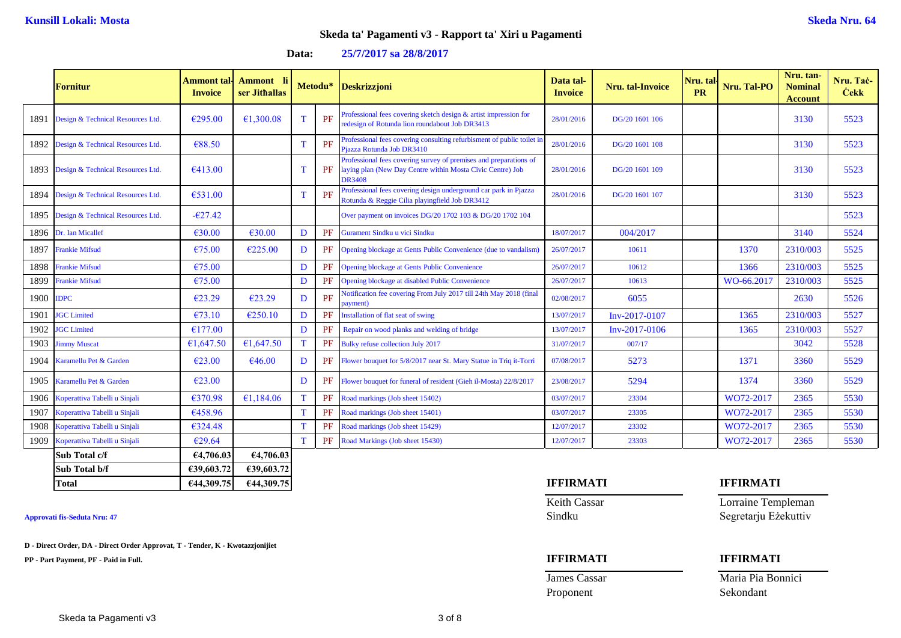| 25/7/2017 sa 28/8/2017<br>Data: |  |
|---------------------------------|--|
|---------------------------------|--|

|           | <b>Fornitur</b>                        | <b>Ammont</b> tal-<br><b>Invoice</b> | Ammont li<br>ser Jithallas |   | Metodu* | <b>Deskrizzjoni</b>                                                                                                                              | Data tal-<br><b>Invoice</b> | <b>Nru.</b> tal-Invoice | Nru. tal-<br><b>PR</b> | Nru. Tal-PO | Nru. tan-<br><b>Nominal</b><br><b>Account</b> | Nru. Tac-<br><b>Cekk</b> |
|-----------|----------------------------------------|--------------------------------------|----------------------------|---|---------|--------------------------------------------------------------------------------------------------------------------------------------------------|-----------------------------|-------------------------|------------------------|-------------|-----------------------------------------------|--------------------------|
| 1891      | Design & Technical Resources Ltd.      | €295.00                              | €1,300.08                  | T | PF      | Professional fees covering sketch design & artist impression for<br>redesign of Rotunda lion roundabout Job DR3413                               | 28/01/2016                  | DG/20 1601 106          |                        |             | 3130                                          | 5523                     |
|           | 1892 Design & Technical Resources Ltd. | €88.50                               |                            | T | PF      | Professional fees covering consulting refurbisment of public toilet i<br>Piazza Rotunda Job DR3410                                               | 28/01/2016                  | DG/20 1601 108          |                        |             | 3130                                          | 5523                     |
|           | 1893 Design & Technical Resources Ltd. | €413.00                              |                            | T | PF      | Professional fees covering survey of premises and preparations of<br>laying plan (New Day Centre within Mosta Civic Centre) Job<br><b>DR3408</b> | 28/01/2016                  | DG/20 1601 109          |                        |             | 3130                                          | 5523                     |
|           | 1894 Design & Technical Resources Ltd. | €531.00                              |                            | T | PF      | Professional fees covering design underground car park in Pjazza<br>Rotunda & Reggie Cilia playingfield Job DR3412                               | 28/01/2016                  | DG/20 1601 107          |                        |             | 3130                                          | 5523                     |
|           | 1895 Design & Technical Resources Ltd. | $-627.42$                            |                            |   |         | Over payment on invoices DG/20 1702 103 & DG/20 1702 104                                                                                         |                             |                         |                        |             |                                               | 5523                     |
|           | 1896 Dr. Ian Micallef                  | €30.00                               | €30.00                     | D | PF      | Gurament Sindku u vici Sindku                                                                                                                    | 18/07/2017                  | 004/2017                |                        |             | 3140                                          | 5524                     |
| 1897      | <b>Frankie Mifsud</b>                  | €75.00                               | €225.00                    | D | PF      | Opening blockage at Gents Public Convenience (due to vandalism)                                                                                  | 26/07/2017                  | 10611                   |                        | 1370        | 2310/003                                      | 5525                     |
| 1898      | <b>Frankie Mifsud</b>                  | €75.00                               |                            | D | PF      | <b>Opening blockage at Gents Public Convenience</b>                                                                                              | 26/07/2017                  | 10612                   |                        | 1366        | 2310/003                                      | 5525                     |
| 1899      | <b>Frankie Mifsud</b>                  | €75.00                               |                            | D | PF      | Opening blockage at disabled Public Convenience                                                                                                  | 26/07/2017                  | 10613                   |                        | WO-66.2017  | 2310/003                                      | 5525                     |
| 1900 IDPC |                                        | £23.29                               | €23.29                     | D | PF      | Notification fee covering From July 2017 till 24th May 2018 (final<br>payment)                                                                   | 02/08/2017                  | 6055                    |                        |             | 2630                                          | 5526                     |
| 1901      | <b>JGC</b> Limited                     | €73.10                               | €250.10                    | D | PF      | Installation of flat seat of swing                                                                                                               | 13/07/2017                  | Inv-2017-0107           |                        | 1365        | 2310/003                                      | 5527                     |
| 1902      | <b>JGC</b> Limited                     | €177.00                              |                            | D | PF      | Repair on wood planks and welding of bridge                                                                                                      | 13/07/2017                  | Inv-2017-0106           |                        | 1365        | 2310/003                                      | 5527                     |
| 1903      | <b>Jimmy Muscat</b>                    | €1,647.50                            | £1,647.50                  | T | PF      | Bulky refuse collection July 2017                                                                                                                | 31/07/2017                  | 007/17                  |                        |             | 3042                                          | 5528                     |
|           | 1904 Karamellu Pet & Garden            | €23.00                               | €46.00                     | D | PF      | Flower bouquet for 5/8/2017 near St. Mary Statue in Triq it-Torri                                                                                | 07/08/2017                  | 5273                    |                        | 1371        | 3360                                          | 5529                     |
|           | 1905 Karamellu Pet & Garden            | €23.00                               |                            | D | PF      | Flower bouquet for funeral of resident (Gieh il-Mosta) 22/8/2017                                                                                 | 23/08/2017                  | 5294                    |                        | 1374        | 3360                                          | 5529                     |
|           | 1906 Koperattiva Tabelli u Sinjali     | €370.98                              | €1,184.06                  | T | PF      | Road markings (Job sheet 15402)                                                                                                                  | 03/07/2017                  | 23304                   |                        | WO72-2017   | 2365                                          | 5530                     |
| 1907      | Koperattiva Tabelli u Sinjali          | €458.96                              |                            | T | PF      | Road markings (Job sheet 15401)                                                                                                                  | 03/07/2017                  | 23305                   |                        | WO72-2017   | 2365                                          | 5530                     |
| 1908      | Koperattiva Tabelli u Sinjali          | €324.48                              |                            | T | PF      | Road markings (Job sheet 15429)                                                                                                                  | 12/07/2017                  | 23302                   |                        | WO72-2017   | 2365                                          | 5530                     |
| 1909      | Koperattiva Tabelli u Sinjali          | €29.64                               |                            | T | PF      | Road Markings (Job sheet 15430)                                                                                                                  | 12/07/2017                  | 23303                   |                        | WO72-2017   | 2365                                          | 5530                     |
|           | Sub Total c/f                          | €4,706.03                            | €4,706.03                  |   |         |                                                                                                                                                  |                             |                         |                        |             |                                               |                          |

**D - Direct Order, DA - Direct Order Approvat, T - Tender, K - Kwotazzjonijiet**

**Sub Total b/f €39,603.72 €39,603.72**

**PP - Part Payment, PF - Paid in Full. IFFIRMATI IFFIRMATI**

# **Total €44,309.75 €44,309.75 IFFIRMATI IFFIRMATI**

Keith Cassar **Lorraine Templeman Approvati fis-Seduta Nru: 47** Sindku Segretarju Eżekuttiv

James Cassar Maria Pia Bonnici Proponent Sekondant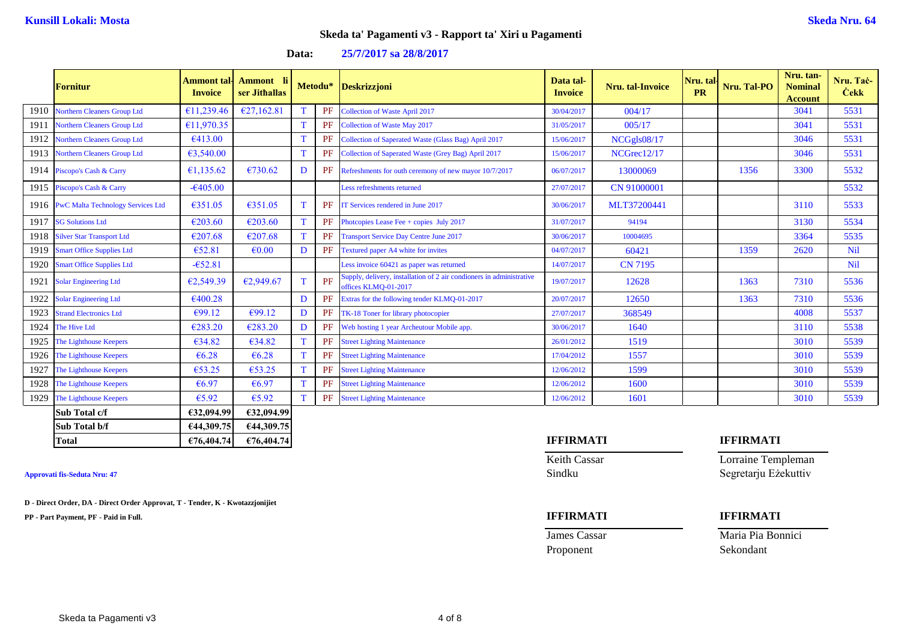**Data: 25/7/2017 sa 28/8/2017**

|      | <b>Fornitur</b>                          | Ammont tal-<br><b>Invoice</b> | Ammont li<br>ser Jithallas |             |    | Metodu* Deskrizzjoni                                                                         | Data tal-<br><b>Invoice</b> | Nru. tal-Invoice | Nru. tal-<br><b>PR</b> | Nru. Tal-PO | Nru. tan-<br><b>Nominal</b><br><b>Account</b> | Nru. Tač-<br><b>Čekk</b> |
|------|------------------------------------------|-------------------------------|----------------------------|-------------|----|----------------------------------------------------------------------------------------------|-----------------------------|------------------|------------------------|-------------|-----------------------------------------------|--------------------------|
| 1910 | <b>Northern Cleaners Group Ltd</b>       | €11,239.46                    | £27,162.81                 | T           | PF | <b>Collection of Waste April 2017</b>                                                        | 30/04/2017                  | 004/17           |                        |             | 3041                                          | 5531                     |
| 1911 | Northern Cleaners Group Ltd              | €11,970.35                    |                            | $\mathbf T$ | PF | <b>Collection of Waste May 2017</b>                                                          | 31/05/2017                  | 005/17           |                        |             | 3041                                          | 5531                     |
| 1912 | <b>Northern Cleaners Group Ltd</b>       | €413.00                       |                            | T           | PF | Collection of Saperated Waste (Glass Bag) April 2017                                         | 15/06/2017                  | NCGgls08/17      |                        |             | 3046                                          | 5531                     |
| 1913 | Northern Cleaners Group Ltd              | €3,540.00                     |                            | T           | PF | Collection of Saperated Waste (Grey Bag) April 2017                                          | 15/06/2017                  | NCGrec12/17      |                        |             | 3046                                          | 5531                     |
| 1914 | Piscopo's Cash & Carry                   | €1,135.62                     | €730.62                    | D           | PF | Refreshments for outh ceremony of new mayor 10/7/2017                                        | 06/07/2017                  | 13000069         |                        | 1356        | 3300                                          | 5532                     |
| 1915 | Piscopo's Cash & Carry                   | $-6405.00$                    |                            |             |    | Less refreshments returned                                                                   | 27/07/2017                  | CN 91000001      |                        |             |                                               | 5532                     |
| 1916 | <b>PwC Malta Technology Services Ltd</b> | €351.05                       | €351.05                    | T           | PF | IT Services rendered in June 2017                                                            | 30/06/2017                  | MLT37200441      |                        |             | 3110                                          | 5533                     |
| 1917 | <b>SG Solutions Ltd</b>                  | €203.60                       | €203.60                    | T           | PF | Photopies Lease Fee $+$ copies July 2017                                                     | 31/07/2017                  | 94194            |                        |             | 3130                                          | 5534                     |
| 1918 | <b>Silver Star Transport Ltd</b>         | €207.68                       | €207.68                    | $\mathbf T$ | PF | <b>Transport Service Day Centre June 2017</b>                                                | 30/06/2017                  | 10004695         |                        |             | 3364                                          | 5535                     |
| 1919 | <b>Smart Office Supplies Ltd</b>         | €52.81                        | $\epsilon$ 0.00            | D           | PF | Textured paper A4 white for invites                                                          | 04/07/2017                  | 60421            |                        | 1359        | 2620                                          | <b>Nil</b>               |
| 1920 | <b>Smart Office Supplies Ltd</b>         | $-652.81$                     |                            |             |    | Less invoice 60421 as paper was returned                                                     | 14/07/2017                  | <b>CN 7195</b>   |                        |             |                                               | <b>Nil</b>               |
| 1921 | <b>Solar Engineering Ltd</b>             | €2,549.39                     | €2,949.67                  | T           | PF | Supply, delivery, installation of 2 air condioners in administrative<br>offices KLMQ-01-2017 | 19/07/2017                  | 12628            |                        | 1363        | 7310                                          | 5536                     |
| 1922 | <b>Solar Engineering Ltd</b>             | €400.28                       |                            | D           | PF | Extras for the following tender KLMQ-01-2017                                                 | 20/07/2017                  | 12650            |                        | 1363        | 7310                                          | 5536                     |
| 1923 | <b>Strand Electronics Ltd</b>            | €99.12                        | €99.12                     | D           | PF | TK-18 Toner for library photocopier                                                          | 27/07/2017                  | 368549           |                        |             | 4008                                          | 5537                     |
| 1924 | The Hive Ltd                             | €283.20                       | €283.20                    | D           | PF | Web hosting 1 year Archeutour Mobile app.                                                    | 30/06/2017                  | 1640             |                        |             | 3110                                          | 5538                     |
| 1925 | The Lighthouse Keepers                   | €34.82                        | €34.82                     | T           | PF | <b>Street Lighting Maintenance</b>                                                           | 26/01/2012                  | 1519             |                        |             | 3010                                          | 5539                     |
| 1926 | The Lighthouse Keepers                   | €6.28                         | €6.28                      | T           | PF | <b>Street Lighting Maintenance</b>                                                           | 17/04/2012                  | 1557             |                        |             | 3010                                          | 5539                     |
| 1927 | The Lighthouse Keepers                   | €53.25                        | €53.25                     | T           | PF | <b>Street Lighting Maintenance</b>                                                           | 12/06/2012                  | 1599             |                        |             | 3010                                          | 5539                     |
| 1928 | The Lighthouse Keepers                   | €6.97                         | €6.97                      | T           | PF | <b>Street Lighting Maintenance</b>                                                           | 12/06/2012                  | 1600             |                        |             | 3010                                          | 5539                     |
| 1929 | The Lighthouse Keepers                   | €5.92                         | €5.92                      | T           | PF | <b>Street Lighting Maintenance</b>                                                           | 12/06/2012                  | 1601             |                        |             | 3010                                          | 5539                     |
|      | Sub Total c/f                            | €32,094.99                    | €32,094.99                 |             |    |                                                                                              |                             |                  |                        |             |                                               |                          |
|      | Sub Total b/f                            | €44,309.75                    | €44,309.75                 |             |    |                                                                                              |                             |                  |                        |             |                                               |                          |

**D - Direct Order, DA - Direct Order Approvat, T - Tender, K - Kwotazzjonijiet**

**PP - Part Payment, PF - Paid in Full. IFFIRMATI IFFIRMATI**

Proponent Sekondant

# **Total €76,404.74 €76,404.74 IFFIRMATI IFFIRMATI**

**Keith Cassar Lorraine Templeman Approvati fis-Seduta Nru: 47** Sindku Segretarju Eżekuttiv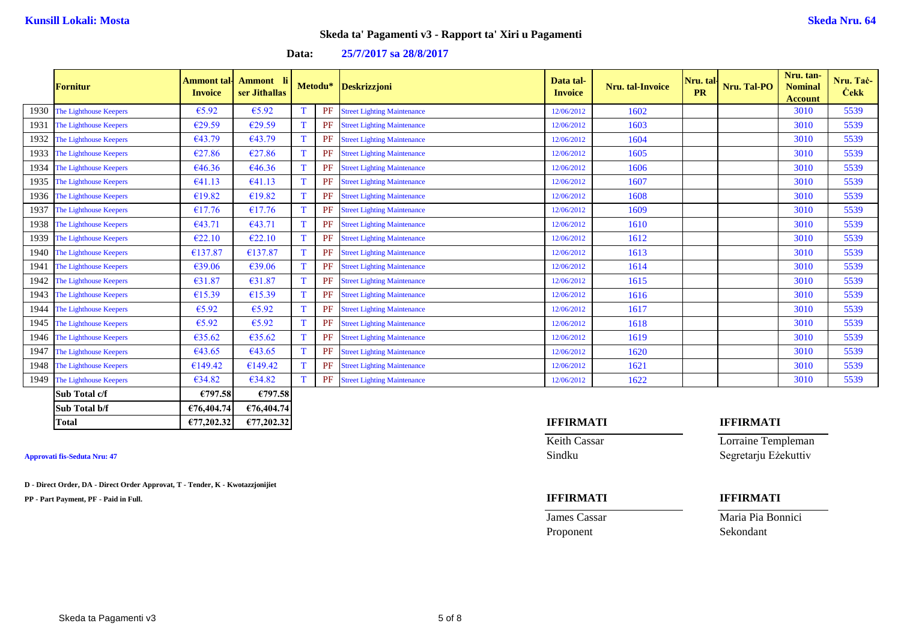|      |                        |                                      |                            |   |         |                                    |                             |                  |                 |             | Nru. tan-                        |                          |
|------|------------------------|--------------------------------------|----------------------------|---|---------|------------------------------------|-----------------------------|------------------|-----------------|-------------|----------------------------------|--------------------------|
|      | <b>Fornitur</b>        | <b>Ammont</b> tal-<br><b>Invoice</b> | Ammont li<br>ser Jithallas |   | Metodu* | Deskrizzjoni                       | Data tal-<br><b>Invoice</b> | Nru. tal-Invoice | Nru. tal-<br>PR | Nru. Tal-PO | <b>Nominal</b><br><b>Account</b> | Nru. Tač-<br><b>Čekk</b> |
| 1930 | The Lighthouse Keepers | €5.92                                | €5.92                      |   | PF      | <b>Street Lighting Maintenance</b> | 12/06/2012                  | 1602             |                 |             | 3010                             | 5539                     |
| 1931 | The Lighthouse Keepers | €29.59                               | €29.59                     | T | PF      | <b>Street Lighting Maintenance</b> | 12/06/2012                  | 1603             |                 |             | 3010                             | 5539                     |
| 1932 | The Lighthouse Keepers | €43.79                               | €43.79                     | т | PF      | <b>Street Lighting Maintenance</b> | 12/06/2012                  | 1604             |                 |             | 3010                             | 5539                     |
| 1933 | The Lighthouse Keepers | €27.86                               | €27.86                     | т | PF      | <b>Street Lighting Maintenance</b> | 12/06/2012                  | 1605             |                 |             | 3010                             | 5539                     |
| 1934 | The Lighthouse Keepers | €46.36                               | €46.36                     |   | PF      | <b>Street Lighting Maintenance</b> | 12/06/2012                  | 1606             |                 |             | 3010                             | 5539                     |
| 1935 | The Lighthouse Keepers | €41.13                               | €41.13                     |   | PF      | <b>Street Lighting Maintenance</b> | 12/06/2012                  | 1607             |                 |             | 3010                             | 5539                     |
| 1936 | The Lighthouse Keepers | €19.82                               | €19.82                     |   | PF      | <b>Street Lighting Maintenance</b> | 12/06/2012                  | 1608             |                 |             | 3010                             | 5539                     |
| 1937 | The Lighthouse Keepers | €17.76                               | €17.76                     |   | PF      | <b>Street Lighting Maintenance</b> | 12/06/2012                  | 1609             |                 |             | 3010                             | 5539                     |
| 1938 | The Lighthouse Keepers | €43.71                               | €43.71                     |   | PF      | <b>Street Lighting Maintenance</b> | 12/06/2012                  | 1610             |                 |             | 3010                             | 5539                     |
| 1939 | The Lighthouse Keepers | E22.10                               | €22.10                     |   | PF      | <b>Street Lighting Maintenance</b> | 12/06/2012                  | 1612             |                 |             | 3010                             | 5539                     |
| 1940 | The Lighthouse Keepers | €137.87                              | €137.87                    | т | PF      | <b>Street Lighting Maintenance</b> | 12/06/2012                  | 1613             |                 |             | 3010                             | 5539                     |
| 1941 | The Lighthouse Keepers | €39.06                               | €39.06                     |   | PF      | <b>Street Lighting Maintenance</b> | 12/06/2012                  | 1614             |                 |             | 3010                             | 5539                     |
| 1942 | The Lighthouse Keepers | €31.87                               | €31.87                     | T | PF      | <b>Street Lighting Maintenance</b> | 12/06/2012                  | 1615             |                 |             | 3010                             | 5539                     |
| 1943 | The Lighthouse Keepers | €15.39                               | €15.39                     | T | PF      | <b>Street Lighting Maintenance</b> | 12/06/2012                  | 1616             |                 |             | 3010                             | 5539                     |
| 1944 | The Lighthouse Keepers | €5.92                                | €5.92                      | T | PF      | <b>Street Lighting Maintenance</b> | 12/06/2012                  | 1617             |                 |             | 3010                             | 5539                     |
| 1945 | The Lighthouse Keepers | €5.92                                | €5.92                      | T | PF      | <b>Street Lighting Maintenance</b> | 12/06/2012                  | 1618             |                 |             | 3010                             | 5539                     |
| 1946 | The Lighthouse Keepers | €35.62                               | €35.62                     | T | PF      | <b>Street Lighting Maintenance</b> | 12/06/2012                  | 1619             |                 |             | 3010                             | 5539                     |
| 1947 | The Lighthouse Keepers | €43.65                               | €43.65                     | T | PF      | <b>Street Lighting Maintenance</b> | 12/06/2012                  | 1620             |                 |             | 3010                             | 5539                     |
| 1948 | The Lighthouse Keepers | €149.42                              | €149.42                    | T | PF      | <b>Street Lighting Maintenance</b> | 12/06/2012                  | 1621             |                 |             | 3010                             | 5539                     |
| 1949 | The Lighthouse Keepers | €34.82                               | €34.82                     |   | PF      | <b>Street Lighting Maintenance</b> | 12/06/2012                  | 1622             |                 |             | 3010                             | 5539                     |
|      | Sub Total c/f          | €797.58                              | €797.58                    |   |         |                                    |                             |                  |                 |             |                                  |                          |
|      | Sub Total b/f          | €76,404.74                           | €76,404.74                 |   |         |                                    |                             |                  |                 |             |                                  |                          |

### **Data: 25/7/2017 sa 28/8/2017**

**D - Direct Order, DA - Direct Order Approvat, T - Tender, K - Kwotazzjonijiet**

**PP - Part Payment, PF - Paid in Full. IFFIRMATI IFFIRMATI**

Proponent Sekondant

### **Total €77,202.32 €77,202.32 IFFIRMATI IFFIRMATI**

Keith Cassar **Lorraine Templeman Approvati fis-Seduta Nru: 47** Sindku Segretarju Eżekuttiv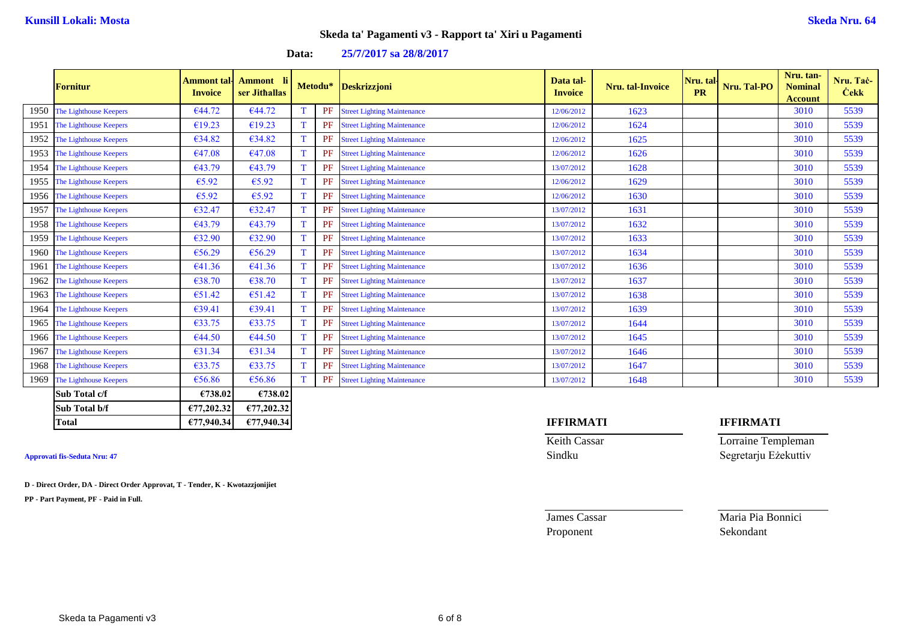|      | <b>Fornitur</b>        | Ammont tal·l<br><b>Invoice</b> | Ammont li<br>ser Jithallas |   | Metodu* | <b>Deskrizzjoni</b>                | Data tal-<br><b>Invoice</b> | Nru. tal-Invoice | Nru. tal-<br><b>PR</b> | Nru. Tal-PO | Nru. tan-<br><b>Nominal</b><br><b>Account</b> | Nru. Tač-<br><b>Čekk</b> |
|------|------------------------|--------------------------------|----------------------------|---|---------|------------------------------------|-----------------------------|------------------|------------------------|-------------|-----------------------------------------------|--------------------------|
| 1950 | The Lighthouse Keepers | €44.72                         | €44.72                     |   | PF      | <b>Street Lighting Maintenance</b> | 12/06/2012                  | 1623             |                        |             | 3010                                          | 5539                     |
| 1951 | The Lighthouse Keepers | €19.23                         | €19.23                     | T | PF      | <b>Street Lighting Maintenance</b> | 12/06/2012                  | 1624             |                        |             | 3010                                          | 5539                     |
| 1952 | The Lighthouse Keepers | €34.82                         | €34.82                     | T | PF      | <b>Street Lighting Maintenance</b> | 12/06/2012                  | 1625             |                        |             | 3010                                          | 5539                     |
| 1953 | The Lighthouse Keepers | €47.08                         | €47.08                     | T | PF      | <b>Street Lighting Maintenance</b> | 12/06/2012                  | 1626             |                        |             | 3010                                          | 5539                     |
| 1954 | The Lighthouse Keepers | €43.79                         | €43.79                     | т | PF      | <b>Street Lighting Maintenance</b> | 13/07/2012                  | 1628             |                        |             | 3010                                          | 5539                     |
| 1955 | The Lighthouse Keepers | €5.92                          | €5.92                      |   | PF      | <b>Street Lighting Maintenance</b> | 12/06/2012                  | 1629             |                        |             | 3010                                          | 5539                     |
| 1956 | The Lighthouse Keepers | €5.92                          | €5.92                      |   | PF      | <b>Street Lighting Maintenance</b> | 12/06/2012                  | 1630             |                        |             | 3010                                          | 5539                     |
| 1957 | The Lighthouse Keepers | €32.47                         | €32.47                     |   | PF      | <b>Street Lighting Maintenance</b> | 13/07/2012                  | 1631             |                        |             | 3010                                          | 5539                     |
| 1958 | The Lighthouse Keepers | €43.79                         | €43.79                     |   | PF      | <b>Street Lighting Maintenance</b> | 13/07/2012                  | 1632             |                        |             | 3010                                          | 5539                     |
| 1959 | The Lighthouse Keepers | €32.90                         | €32.90                     |   | PF      | <b>Street Lighting Maintenance</b> | 13/07/2012                  | 1633             |                        |             | 3010                                          | 5539                     |
| 1960 | The Lighthouse Keepers | €56.29                         | €56.29                     | т | PF      | <b>Street Lighting Maintenance</b> | 13/07/2012                  | 1634             |                        |             | 3010                                          | 5539                     |
| 1961 | The Lighthouse Keepers | €41.36                         | €41.36                     | т | PF      | <b>Street Lighting Maintenance</b> | 13/07/2012                  | 1636             |                        |             | 3010                                          | 5539                     |
| 1962 | The Lighthouse Keepers | €38.70                         | €38.70                     | т | PF      | <b>Street Lighting Maintenance</b> | 13/07/2012                  | 1637             |                        |             | 3010                                          | 5539                     |
| 1963 | The Lighthouse Keepers | €51.42                         | €51.42                     | T | PF      | <b>Street Lighting Maintenance</b> | 13/07/2012                  | 1638             |                        |             | 3010                                          | 5539                     |
| 1964 | The Lighthouse Keepers | €39.41                         | €39.41                     | T | PF      | <b>Street Lighting Maintenance</b> | 13/07/2012                  | 1639             |                        |             | 3010                                          | 5539                     |
| 1965 | The Lighthouse Keepers | €33.75                         | €33.75                     | T | PF      | <b>Street Lighting Maintenance</b> | 13/07/2012                  | 1644             |                        |             | 3010                                          | 5539                     |
| 1966 | The Lighthouse Keepers | €44.50                         | €44.50                     | T | PF      | <b>Street Lighting Maintenance</b> | 13/07/2012                  | 1645             |                        |             | 3010                                          | 5539                     |
| 1967 | The Lighthouse Keepers | €31.34                         | €31.34                     | T | PF      | <b>Street Lighting Maintenance</b> | 13/07/2012                  | 1646             |                        |             | 3010                                          | 5539                     |
| 1968 | The Lighthouse Keepers | €33.75                         | €33.75                     | T | PF      | <b>Street Lighting Maintenance</b> | 13/07/2012                  | 1647             |                        |             | 3010                                          | 5539                     |
| 1969 | The Lighthouse Keepers | €56.86                         | €56.86                     |   | PF      | <b>Street Lighting Maintenance</b> | 13/07/2012                  | 1648             |                        |             | 3010                                          | 5539                     |
|      | Sub Total c/f          | €738.02                        | €738.02                    |   |         |                                    |                             |                  |                        |             |                                               |                          |
|      | Sub Total b/f          | £77,202.32                     | €77,202.32                 |   |         |                                    |                             |                  |                        |             |                                               |                          |

### **Data: 25/7/2017 sa 28/8/2017**

**D - Direct Order, DA - Direct Order Approvat, T - Tender, K - Kwotazzjonijiet**

**PP - Part Payment, PF - Paid in Full.**

### **Total €77,940.34 €77,940.34 IFFIRMATI IFFIRMATI**

Keith Cassar **Lorraine Templeman Approvati fis-Seduta Nru: 47** Sindku Segretarju Eżekuttiv

**James Cassar Maria Pia Bonnici** Proponent Sekondant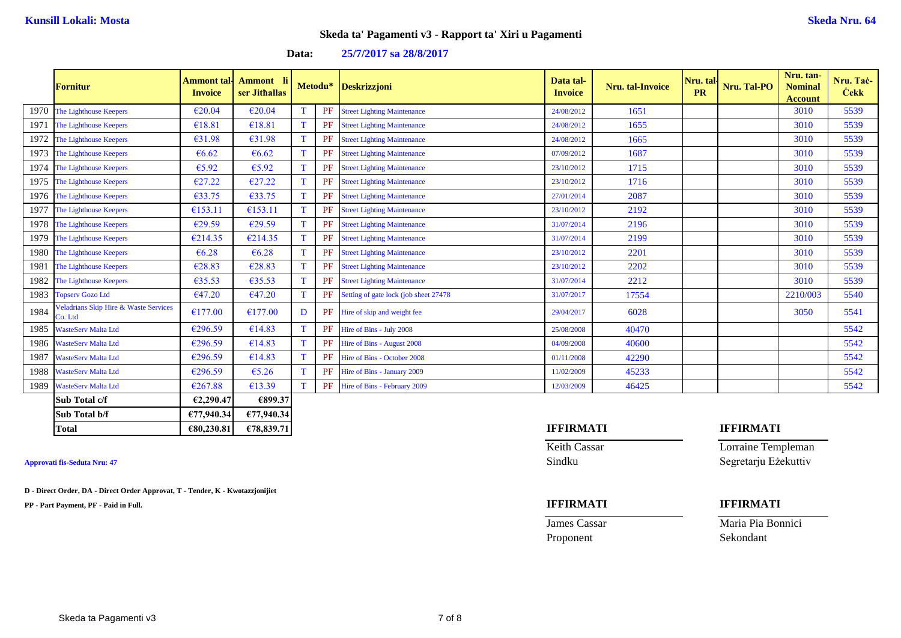|      | <b>Fornitur</b>                                             | Ammont tal·l<br><b>Invoice</b> | Ammont li<br>ser Jithallas |   | Metodu*   | <b>Deskrizzjoni</b>                    | Data tal-<br><b>Invoice</b> | Nru. tal-Invoice | Nru. tal<br><b>PR</b> | Nru. Tal-PO | Nru. tan-<br><b>Nominal</b><br><b>Account</b> | Nru. Tač-<br><b>Čekk</b> |
|------|-------------------------------------------------------------|--------------------------------|----------------------------|---|-----------|----------------------------------------|-----------------------------|------------------|-----------------------|-------------|-----------------------------------------------|--------------------------|
| 1970 | The Lighthouse Keepers                                      | €20.04                         | €20.04                     |   | <b>PF</b> | <b>Street Lighting Maintenance</b>     | 24/08/2012                  | 1651             |                       |             | 3010                                          | 5539                     |
| 1971 | The Lighthouse Keepers                                      | €18.81                         | €18.81                     |   | PF        | <b>Street Lighting Maintenance</b>     | 24/08/2012                  | 1655             |                       |             | 3010                                          | 5539                     |
| 1972 | The Lighthouse Keepers                                      | €31.98                         | €31.98                     |   | PF        | <b>Street Lighting Maintenance</b>     | 24/08/2012                  | 1665             |                       |             | 3010                                          | 5539                     |
| 1973 | The Lighthouse Keepers                                      | €6.62                          | €6.62                      |   | PF        | <b>Street Lighting Maintenance</b>     | 07/09/2012                  | 1687             |                       |             | 3010                                          | 5539                     |
| 1974 | The Lighthouse Keepers                                      | €5.92                          | €5.92                      |   | <b>PF</b> | <b>Street Lighting Maintenance</b>     | 23/10/2012                  | 1715             |                       |             | 3010                                          | 5539                     |
| 1975 | The Lighthouse Keepers                                      | €27.22                         | €27.22                     |   | <b>PF</b> | <b>Street Lighting Maintenance</b>     | 23/10/2012                  | 1716             |                       |             | 3010                                          | 5539                     |
| 1976 | The Lighthouse Keepers                                      | €33.75                         | €33.75                     |   | <b>PF</b> | <b>Street Lighting Maintenance</b>     | 27/01/2014                  | 2087             |                       |             | 3010                                          | 5539                     |
| 1977 | The Lighthouse Keepers                                      | €153.11                        | €153.11                    | T | PF        | <b>Street Lighting Maintenance</b>     | 23/10/2012                  | 2192             |                       |             | 3010                                          | 5539                     |
| 1978 | The Lighthouse Keepers                                      | £29.59                         | €29.59                     |   | <b>PF</b> | <b>Street Lighting Maintenance</b>     | 31/07/2014                  | 2196             |                       |             | 3010                                          | 5539                     |
| 1979 | The Lighthouse Keepers                                      | €214.35                        | €214.35                    | т | PF        | <b>Street Lighting Maintenance</b>     | 31/07/2014                  | 2199             |                       |             | 3010                                          | 5539                     |
| 1980 | The Lighthouse Keepers                                      | €6.28                          | €6.28                      |   | PF        | <b>Street Lighting Maintenance</b>     | 23/10/2012                  | 2201             |                       |             | 3010                                          | 5539                     |
| 1981 | The Lighthouse Keepers                                      | €28.83                         | €28.83                     |   | PF        | <b>Street Lighting Maintenance</b>     | 23/10/2012                  | 2202             |                       |             | 3010                                          | 5539                     |
| 1982 | The Lighthouse Keepers                                      | €35.53                         | €35.53                     |   | <b>PF</b> | <b>Street Lighting Maintenance</b>     | 31/07/2014                  | 2212             |                       |             | 3010                                          | 5539                     |
| 1983 | <b>Topserv Gozo Ltd</b>                                     | €47.20                         | €47.20                     | T | <b>PF</b> | Setting of gate lock (job sheet 27478) | 31/07/2017                  | 17554            |                       |             | 2210/003                                      | 5540                     |
| 1984 | <b>Veladrians Skip Hire &amp; Waste Services</b><br>Co. Ltd | €177.00                        | €177.00                    | D | PF        | Hire of skip and weight fee            | 29/04/2017                  | 6028             |                       |             | 3050                                          | 5541                     |
| 1985 | <b>WasteServ Malta Ltd</b>                                  | €296.59                        | €14.83                     | т | PF        | Hire of Bins - July 2008               | 25/08/2008                  | 40470            |                       |             |                                               | 5542                     |
| 1986 | <b>WasteServ Malta Ltd</b>                                  | €296.59                        | €14.83                     |   | PF        | Hire of Bins - August 2008             | 04/09/2008                  | 40600            |                       |             |                                               | 5542                     |
| 1987 | <b>WasteServ Malta Ltd</b>                                  | €296.59                        | €14.83                     | T | PF        | Hire of Bins - October 2008            | 01/11/2008                  | 42290            |                       |             |                                               | 5542                     |
| 1988 | <b>WasteServ Malta Ltd</b>                                  | €296.59                        | €5.26                      |   | <b>PF</b> | Hire of Bins - January 2009            | 11/02/2009                  | 45233            |                       |             |                                               | 5542                     |
| 1989 | <b>WasteServ Malta Ltd</b>                                  | €267.88                        | €13.39                     |   | <b>PF</b> | Hire of Bins - February 2009           | 12/03/2009                  | 46425            |                       |             |                                               | 5542                     |
|      | Sub Total c/f                                               | €2,290.47                      | €899.37                    |   |           |                                        |                             |                  |                       |             |                                               |                          |

### **Data: 25/7/2017 sa 28/8/2017**

**D - Direct Order, DA - Direct Order Approvat, T - Tender, K - Kwotazzjonijiet**

**Sub Total b/f €77,940.34 €77,940.34**

**PP - Part Payment, PF - Paid in Full. IFFIRMATI IFFIRMATI**

# Proponent Sekondant

### **Total €80,230.81 €78,839.71 IFFIRMATI IFFIRMATI**

**Keith Cassar Lorraine Templeman Approvati fis-Seduta Nru: 47** Sindku Segretarju Eżekuttiv